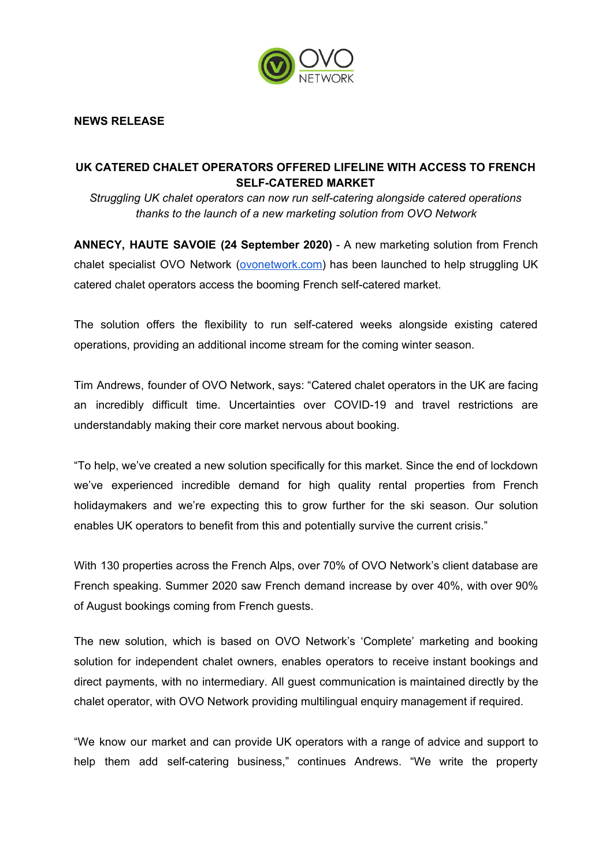

## **NEWS RELEASE**

## **UK CATERED CHALET OPERATORS OFFERED LIFELINE WITH ACCESS TO FRENCH SELF-CATERED MARKET**

*Struggling UK chalet operators can now run self-catering alongside catered operations thanks to the launch of a new marketing solution from OVO Network*

**ANNECY, HAUTE SAVOIE (24 September 2020)** - A new marketing solution from French chalet specialist OVO Network [\(ovonetwork.com\)](http://www.ovonetwork.com/) has been launched to help struggling UK catered chalet operators access the booming French self-catered market.

The solution offers the flexibility to run self-catered weeks alongside existing catered operations, providing an additional income stream for the coming winter season.

Tim Andrews, founder of OVO Network, says: "Catered chalet operators in the UK are facing an incredibly difficult time. Uncertainties over COVID-19 and travel restrictions are understandably making their core market nervous about booking.

"To help, we've created a new solution specifically for this market. Since the end of lockdown we've experienced incredible demand for high quality rental properties from French holidaymakers and we're expecting this to grow further for the ski season. Our solution enables UK operators to benefit from this and potentially survive the current crisis."

With 130 properties across the French Alps, over 70% of OVO Network's client database are French speaking. Summer 2020 saw French demand increase by over 40%, with over 90% of August bookings coming from French guests.

The new solution, which is based on OVO Network's 'Complete' marketing and booking solution for independent chalet owners, enables operators to receive instant bookings and direct payments, with no intermediary. All guest communication is maintained directly by the chalet operator, with OVO Network providing multilingual enquiry management if required.

"We know our market and can provide UK operators with a range of advice and support to help them add self-catering business," continues Andrews. "We write the property